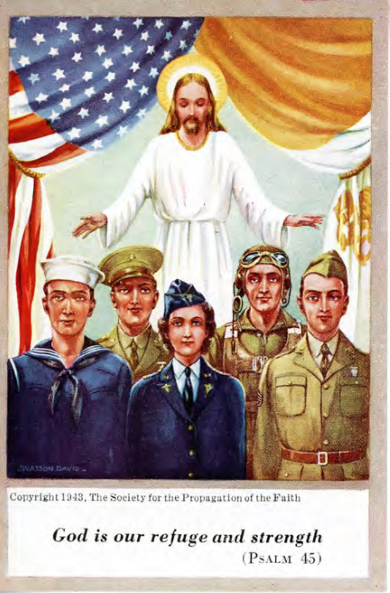

Copyright 1943, The Society for the Propagation of the Faith

God is our refuge and strength  $(PsALM 45)$